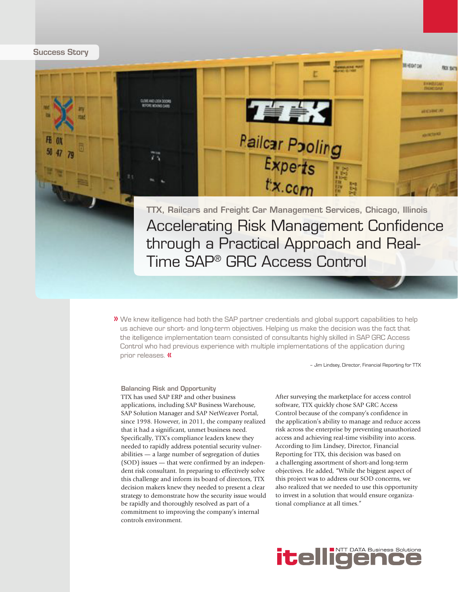TTX, Railcars and Freight Car Management Services, Chicago, Illinois Accelerating Risk Management Confidence through a Practical Approach and Real-Time SAP® GRC Access Control

**Pailcar Pooling** 

**THK** 

 $\bm{\nu}$  We knew itelligence had both the SAP partner credentials and global support capabilities to help  $\bm{\nu}$ us achieve our short- and long-term objectives. Helping us make the decision was the fact that the itelligence implementation team consisted of consultants highly skilled in SAP GRC Access Control who had previous experience with multiple implementations of the application during prior releases. **«** 

– Jim Lindsey, Director, Financial Reporting for TTX

**BI-EDITOR** 

**GALLERY** 

Balancing Risk and Opportunity TTX has used SAP ERP and other business applications, including SAP Business Warehouse, SAP Solution Manager and SAP NetWeaver Portal, since 1998. However, in 2011, the company realized that it had a significant, unmet business need. Specifically, TTX's compliance leaders knew they needed to rapidly address potential security vulnerabilities — a large number of segregation of duties (SOD) issues — that were confirmed by an independent risk consultant. In preparing to effectively solve this challenge and inform its board of directors, TTX decision makers knew they needed to present a clear strategy to demonstrate how the security issue would be rapidly and thoroughly resolved as part of a commitment to improving the company's internal controls environment.

After surveying the marketplace for access control software, TTX quickly chose SAP GRC Access Control because of the company's confidence in the application's ability to manage and reduce access risk across the enterprise by preventing unauthorized access and achieving real-time visibility into access. According to Jim Lindsey, Director, Financial Reporting for TTX, this decision was based on a challenging assortment of short-and long-term objectives. He added, "While the biggest aspect of this project was to address our SOD concerns, we also realized that we needed to use this opportunity to invest in a solution that would ensure organizational compliance at all times."



**Success Story**